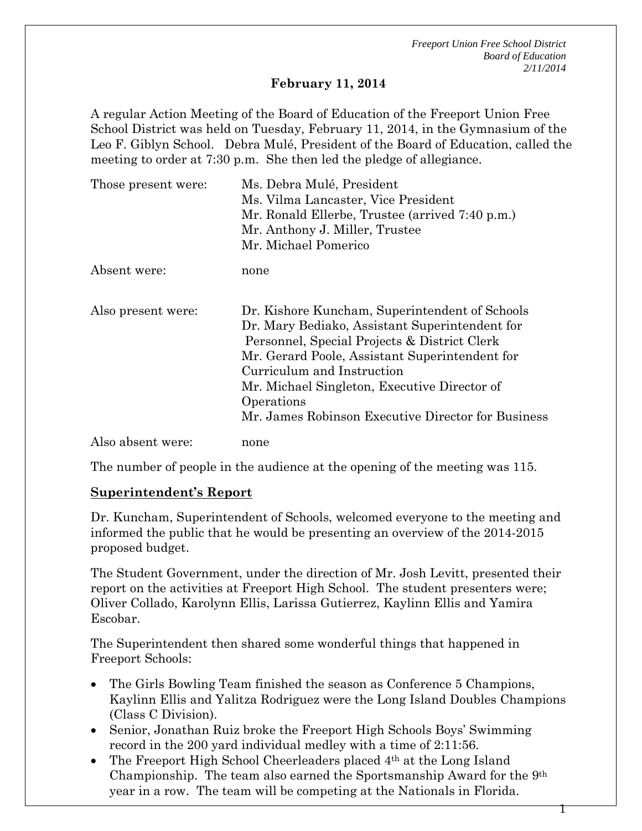### **February 11, 2014**

A regular Action Meeting of the Board of Education of the Freeport Union Free School District was held on Tuesday, February 11, 2014, in the Gymnasium of the Leo F. Giblyn School. Debra Mulé, President of the Board of Education, called the meeting to order at 7:30 p.m. She then led the pledge of allegiance.

| Those present were: | Ms. Debra Mulé, President<br>Ms. Vilma Lancaster, Vice President<br>Mr. Ronald Ellerbe, Trustee (arrived 7:40 p.m.)<br>Mr. Anthony J. Miller, Trustee<br>Mr. Michael Pomerico                                                                                                                                                                        |  |
|---------------------|------------------------------------------------------------------------------------------------------------------------------------------------------------------------------------------------------------------------------------------------------------------------------------------------------------------------------------------------------|--|
| Absent were:        | none                                                                                                                                                                                                                                                                                                                                                 |  |
| Also present were:  | Dr. Kishore Kuncham, Superintendent of Schools<br>Dr. Mary Bediako, Assistant Superintendent for<br>Personnel, Special Projects & District Clerk<br>Mr. Gerard Poole, Assistant Superintendent for<br>Curriculum and Instruction<br>Mr. Michael Singleton, Executive Director of<br>Operations<br>Mr. James Robinson Executive Director for Business |  |
| Also absent were:   | none                                                                                                                                                                                                                                                                                                                                                 |  |

The number of people in the audience at the opening of the meeting was 115.

## **Superintendent's Report**

Dr. Kuncham, Superintendent of Schools, welcomed everyone to the meeting and informed the public that he would be presenting an overview of the 2014-2015 proposed budget.

The Student Government, under the direction of Mr. Josh Levitt, presented their report on the activities at Freeport High School. The student presenters were; Oliver Collado, Karolynn Ellis, Larissa Gutierrez, Kaylinn Ellis and Yamira Escobar.

The Superintendent then shared some wonderful things that happened in Freeport Schools:

- The Girls Bowling Team finished the season as Conference 5 Champions, Kaylinn Ellis and Yalitza Rodriguez were the Long Island Doubles Champions (Class C Division).
- Senior, Jonathan Ruiz broke the Freeport High Schools Boys' Swimming record in the 200 yard individual medley with a time of 2:11:56.
- The Freeport High School Cheerleaders placed 4th at the Long Island Championship. The team also earned the Sportsmanship Award for the 9th year in a row. The team will be competing at the Nationals in Florida.

1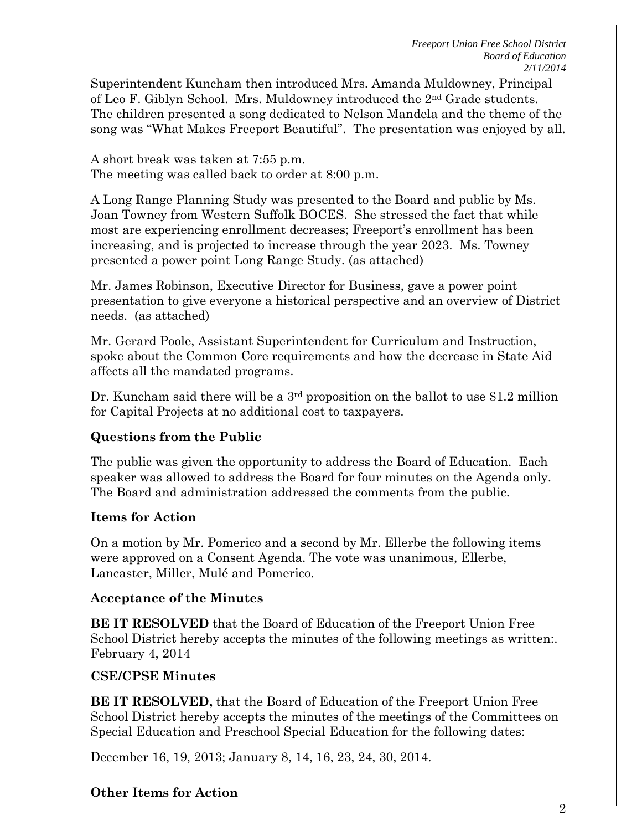Superintendent Kuncham then introduced Mrs. Amanda Muldowney, Principal of Leo F. Giblyn School. Mrs. Muldowney introduced the 2nd Grade students. The children presented a song dedicated to Nelson Mandela and the theme of the song was "What Makes Freeport Beautiful". The presentation was enjoyed by all.

A short break was taken at 7:55 p.m. The meeting was called back to order at 8:00 p.m.

A Long Range Planning Study was presented to the Board and public by Ms. Joan Towney from Western Suffolk BOCES. She stressed the fact that while most are experiencing enrollment decreases; Freeport's enrollment has been increasing, and is projected to increase through the year 2023. Ms. Towney presented a power point Long Range Study. (as attached)

Mr. James Robinson, Executive Director for Business, gave a power point presentation to give everyone a historical perspective and an overview of District needs. (as attached)

Mr. Gerard Poole, Assistant Superintendent for Curriculum and Instruction, spoke about the Common Core requirements and how the decrease in State Aid affects all the mandated programs.

Dr. Kuncham said there will be a 3<sup>rd</sup> proposition on the ballot to use \$1.2 million for Capital Projects at no additional cost to taxpayers.

## **Questions from the Public**

The public was given the opportunity to address the Board of Education. Each speaker was allowed to address the Board for four minutes on the Agenda only. The Board and administration addressed the comments from the public.

#### **Items for Action**

On a motion by Mr. Pomerico and a second by Mr. Ellerbe the following items were approved on a Consent Agenda. The vote was unanimous, Ellerbe, Lancaster, Miller, Mulé and Pomerico.

#### **Acceptance of the Minutes**

**BE IT RESOLVED** that the Board of Education of the Freeport Union Free School District hereby accepts the minutes of the following meetings as written:. February 4, 2014

#### **CSE/CPSE Minutes**

**BE IT RESOLVED,** that the Board of Education of the Freeport Union Free School District hereby accepts the minutes of the meetings of the Committees on Special Education and Preschool Special Education for the following dates:

December 16, 19, 2013; January 8, 14, 16, 23, 24, 30, 2014.

## **Other Items for Action**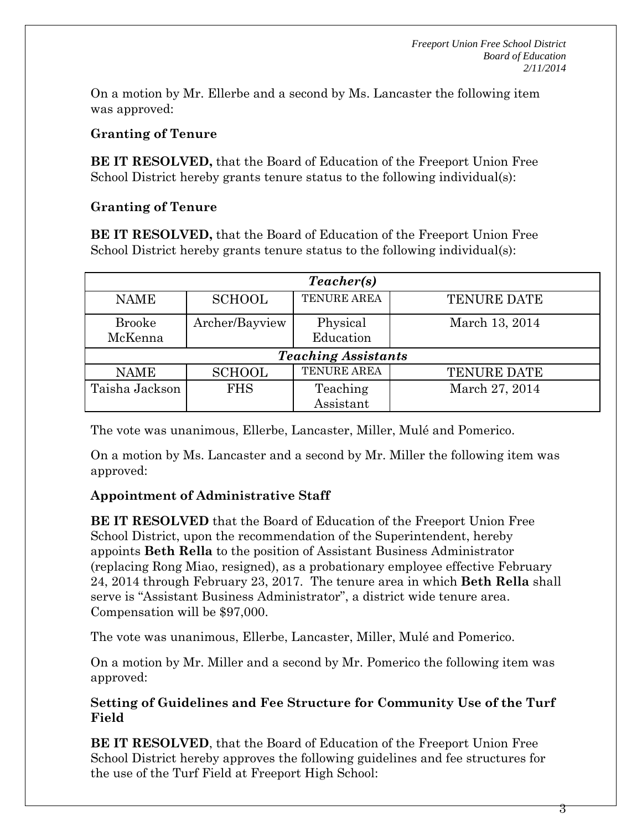On a motion by Mr. Ellerbe and a second by Ms. Lancaster the following item was approved:

## **Granting of Tenure**

**BE IT RESOLVED,** that the Board of Education of the Freeport Union Free School District hereby grants tenure status to the following individual(s):

## **Granting of Tenure**

**BE IT RESOLVED,** that the Board of Education of the Freeport Union Free School District hereby grants tenure status to the following individual(s):

| Teacher(s)                 |                |             |                    |  |
|----------------------------|----------------|-------------|--------------------|--|
| <b>NAME</b>                | <b>SCHOOL</b>  | TENURE AREA | <b>TENURE DATE</b> |  |
| <b>Brooke</b>              | Archer/Bayview | Physical    | March 13, 2014     |  |
| McKenna                    |                | Education   |                    |  |
| <b>Teaching Assistants</b> |                |             |                    |  |
| <b>NAME</b>                | <b>SCHOOL</b>  | TENURE AREA | <b>TENURE DATE</b> |  |
| Taisha Jackson             | <b>FHS</b>     | Teaching    | March 27, 2014     |  |
|                            |                | Assistant   |                    |  |

The vote was unanimous, Ellerbe, Lancaster, Miller, Mulé and Pomerico.

On a motion by Ms. Lancaster and a second by Mr. Miller the following item was approved:

## **Appointment of Administrative Staff**

**BE IT RESOLVED** that the Board of Education of the Freeport Union Free School District, upon the recommendation of the Superintendent, hereby appoints **Beth Rella** to the position of Assistant Business Administrator (replacing Rong Miao, resigned), as a probationary employee effective February 24, 2014 through February 23, 2017. The tenure area in which **Beth Rella** shall serve is "Assistant Business Administrator", a district wide tenure area. Compensation will be \$97,000.

The vote was unanimous, Ellerbe, Lancaster, Miller, Mulé and Pomerico.

On a motion by Mr. Miller and a second by Mr. Pomerico the following item was approved:

## **Setting of Guidelines and Fee Structure for Community Use of the Turf Field**

**BE IT RESOLVED**, that the Board of Education of the Freeport Union Free School District hereby approves the following guidelines and fee structures for the use of the Turf Field at Freeport High School: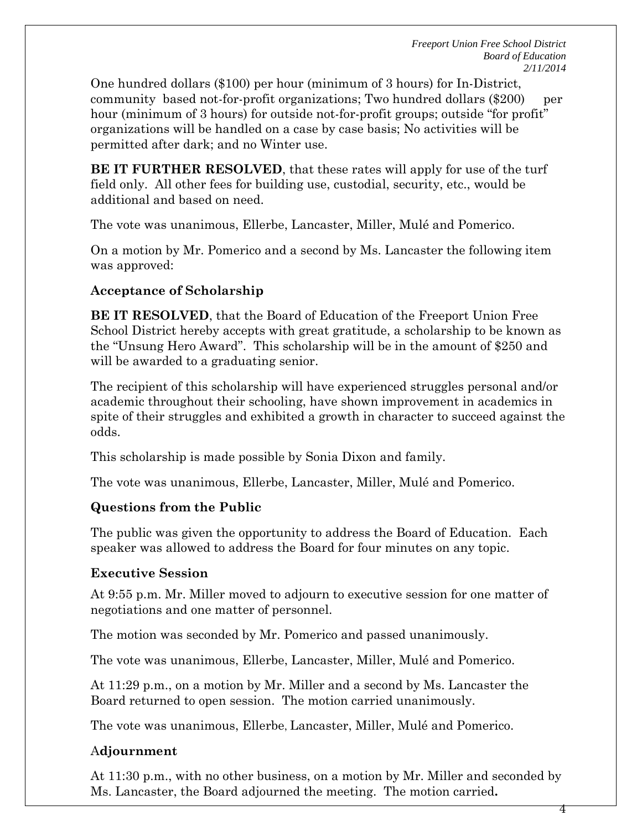One hundred dollars (\$100) per hour (minimum of 3 hours) for In-District, community based not-for-profit organizations; Two hundred dollars (\$200) per hour (minimum of 3 hours) for outside not-for-profit groups; outside "for profit" organizations will be handled on a case by case basis; No activities will be permitted after dark; and no Winter use.

**BE IT FURTHER RESOLVED**, that these rates will apply for use of the turf field only. All other fees for building use, custodial, security, etc., would be additional and based on need.

The vote was unanimous, Ellerbe, Lancaster, Miller, Mulé and Pomerico.

On a motion by Mr. Pomerico and a second by Ms. Lancaster the following item was approved:

# **Acceptance of Scholarship**

**BE IT RESOLVED**, that the Board of Education of the Freeport Union Free School District hereby accepts with great gratitude, a scholarship to be known as the "Unsung Hero Award". This scholarship will be in the amount of \$250 and will be awarded to a graduating senior.

The recipient of this scholarship will have experienced struggles personal and/or academic throughout their schooling, have shown improvement in academics in spite of their struggles and exhibited a growth in character to succeed against the odds.

This scholarship is made possible by Sonia Dixon and family.

The vote was unanimous, Ellerbe, Lancaster, Miller, Mulé and Pomerico.

# **Questions from the Public**

The public was given the opportunity to address the Board of Education. Each speaker was allowed to address the Board for four minutes on any topic.

# **Executive Session**

At 9:55 p.m. Mr. Miller moved to adjourn to executive session for one matter of negotiations and one matter of personnel.

The motion was seconded by Mr. Pomerico and passed unanimously.

The vote was unanimous, Ellerbe, Lancaster, Miller, Mulé and Pomerico.

At 11:29 p.m., on a motion by Mr. Miller and a second by Ms. Lancaster the Board returned to open session. The motion carried unanimously.

The vote was unanimous, Ellerbe, Lancaster, Miller, Mulé and Pomerico.

# A**djournment**

At 11:30 p.m., with no other business, on a motion by Mr. Miller and seconded by Ms. Lancaster, the Board adjourned the meeting. The motion carried**.** 

4